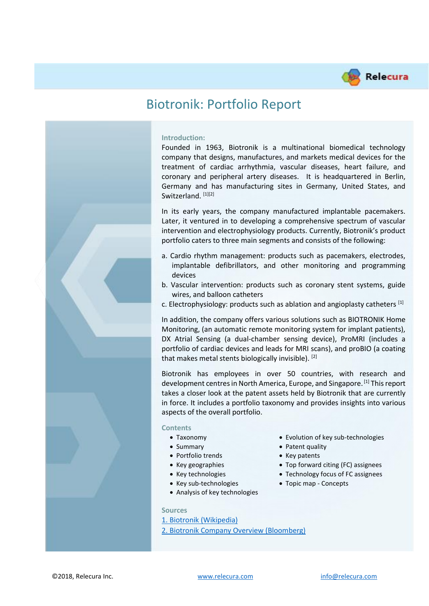

# Biotronik: Portfolio Report

#### **Introduction:**

Founded in 1963, Biotronik is a multinational biomedical technology company that designs, manufactures, and markets medical devices for the treatment of cardiac arrhythmia, vascular diseases, heart failure, and coronary and peripheral artery diseases. It is headquartered in Berlin, Germany and has manufacturing sites in Germany, United States, and Switzerland. [1][2]

In its early years, the company manufactured implantable pacemakers. Later, it ventured in to developing a comprehensive spectrum of vascular intervention and electrophysiology products. Currently, Biotronik's product portfolio caters to three main segments and consists of the following:

- a. Cardio rhythm management: products such as pacemakers, electrodes, implantable defibrillators, and other monitoring and programming devices
- b. Vascular intervention: products such as coronary stent systems, guide wires, and balloon catheters
- c. Electrophysiology: products such as ablation and angioplasty catheters  $^{[1]}$

In addition, the company offers various solutions such as BIOTRONIK Home Monitoring, (an automatic remote monitoring system for implant patients), DX Atrial Sensing (a dual-chamber sensing device), ProMRI (includes a portfolio of cardiac devices and leads for MRI scans), and proBIO (a coating that makes metal stents biologically invisible). [2]

Biotronik has employees in over 50 countries, with research and development centres in North America, Europe, and Singapore. [1] This report takes a closer look at the patent assets held by Biotronik that are currently in force. It includes a portfolio taxonomy and provides insights into various aspects of the overall portfolio.

#### **Contents**

- 
- 
- Portfolio trends Key patents
- 
- 
- 
- Analysis of key technologies
- **Sources**
- [1. Biotronik \(Wikipedia\)](https://en.wikipedia.org/wiki/Biotronik)

[2. Biotronik Company Overview \(Bloomberg\)](https://www.bloomberg.com/research/stocks/private/snapshot.asp?privcapid=22287617)

- Taxonomy Evolution of key sub-technologies
- Summary Patent quality
	-
- Key geographies Top forward citing (FC) assignees
- Key technologies Technology focus of FC assignees
- Key sub-technologies Topic map Concepts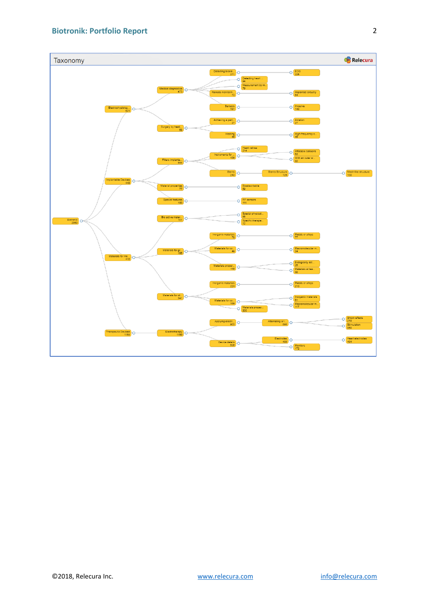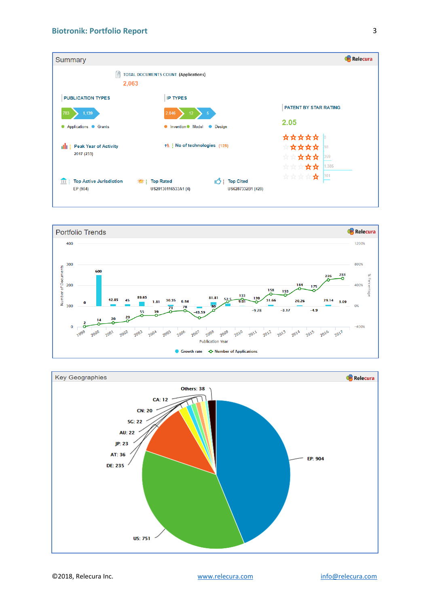



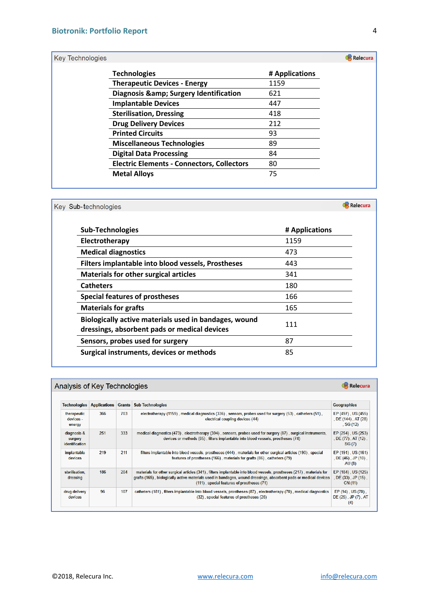## Key Technologies

| <b>Technologies</b>                               | # Applications |
|---------------------------------------------------|----------------|
| <b>Therapeutic Devices - Energy</b>               | 1159           |
| Diagnosis & amp; Surgery Identification           | 621            |
| <b>Implantable Devices</b>                        | 447            |
| <b>Sterilisation, Dressing</b>                    | 418            |
| <b>Drug Delivery Devices</b>                      | 212            |
| <b>Printed Circuits</b>                           | 93             |
| <b>Miscellaneous Technologies</b>                 | 89             |
| <b>Digital Data Processing</b>                    | 84             |
| <b>Electric Elements - Connectors, Collectors</b> | 80             |
| <b>Metal Alloys</b>                               | 75             |

| Key Sub-technologies                                                                                  |                | Relecura |  |
|-------------------------------------------------------------------------------------------------------|----------------|----------|--|
| <b>Sub-Technologies</b>                                                                               | # Applications |          |  |
| Electrotherapy                                                                                        | 1159           |          |  |
| <b>Medical diagnostics</b>                                                                            | 473            |          |  |
| Filters implantable into blood vessels, Prostheses                                                    | 443            |          |  |
| <b>Materials for other surgical articles</b>                                                          | 341            |          |  |
| <b>Catheters</b>                                                                                      | 180            |          |  |
| <b>Special features of prostheses</b>                                                                 | 166            |          |  |
| <b>Materials for grafts</b>                                                                           | 165            |          |  |
| Biologically active materials used in bandages, wound<br>dressings, absorbent pads or medical devices | 111            |          |  |
| Sensors, probes used for surgery                                                                      | 87             |          |  |
| Surgical instruments, devices or methods                                                              | 85             |          |  |

# Analysis of Key Technologies

| <b>Technologies</b>                      | <b>Applications</b> | <b>Grants</b> | <b>Sub Technologies</b>                                                                                                                                                                                                                                                                | <b>Geographies</b>                                        |
|------------------------------------------|---------------------|---------------|----------------------------------------------------------------------------------------------------------------------------------------------------------------------------------------------------------------------------------------------------------------------------------------|-----------------------------------------------------------|
| therapeutic<br>devices -<br>energy       | 366                 | 703           | electrotherapy (1159), medical diagnostics (336), sensors, probes used for surgery (53), catheters (51),<br>electrical coupling devices (44)                                                                                                                                           | EP (497), US (455)<br>, DE (144), AT (28)<br>, SG $(12)$  |
| diagnosis &<br>surgery<br>identification | 251                 | 333           | medical diagnostics (473), electrotherapy (394), sensors, probes used for surgery (87), surgical instruments,<br>devices or methods (85), filters implantable into blood vessels, prostheses (74)                                                                                      | EP (254), US (253)<br>, $DE(77)$ , $AT(12)$ ,<br>SG (7)   |
| implantable<br>devices                   | 219                 | 211           | filters implantable into blood vessels, prostheses (444), materials for other surgical articles (190), special<br>features of prostheses (166), materials for grafts (86), catheters (79)                                                                                              | EP (191), US (161)<br>, DE $(46)$ , JP $(10)$ ,<br>AU (8) |
| sterilisation.<br>dressing               | 186                 | 204           | materials for other surgical articles (341), filters implantable into blood vessels, prostheses (217), materials for<br>grafts (165), biologically active materials used in bandages, wound dressings, absorbent pads or medical devices<br>(111), special features of prostheses (71) | EP (184), US (125)<br>, $DE(33)$ , $JP(15)$ .<br>CN (11)  |
| drug delivery<br>devices                 | 96                  | 107           | catheters (181), filters implantable into blood vessels, prostheses (87), electrotherapy (70), medical diagnostics<br>(32), special features of prostheses (26)                                                                                                                        | EP (94), US (70),<br>DE (25), JP (7), AT<br>(4)           |

**Relecura** 

Relecura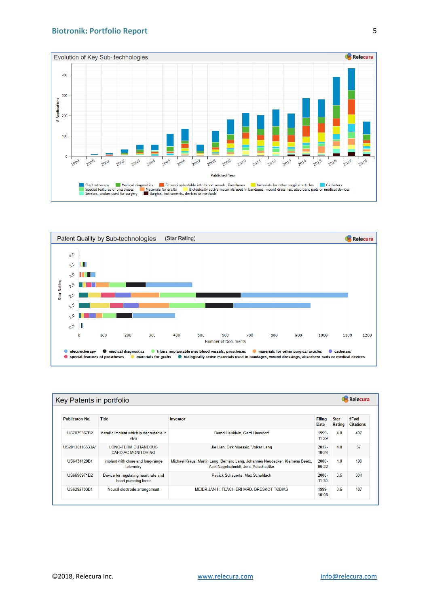#### **Biotronik: Portfolio Report**





| <b>Relecura</b><br>Key Patents in portfolio |                                                             |                                                                                                                     |                              |                       |                          |  |
|---------------------------------------------|-------------------------------------------------------------|---------------------------------------------------------------------------------------------------------------------|------------------------------|-----------------------|--------------------------|--|
| <b>Publicaton No.</b>                       | <b>Title</b>                                                | Inventor                                                                                                            | <b>Filing</b><br><b>Date</b> | <b>Star</b><br>Rating | #Fwd<br><b>Citations</b> |  |
| US7879367B2                                 | Metallic implant which is degradable in<br>vivo             | Bernd Heublein, Gerd Hausdorf                                                                                       | 1999-<br>$11 - 29$           | 4.0                   | 407                      |  |
| US20130116533A1                             | <b>LONG-TERM CUTANEOUS</b><br><b>CARDIAC MONITORING</b>     | Jie Lian, Dirk Muessig, Volker Lang                                                                                 | $2012 -$<br>$10 - 24$        | 4.0                   | 57                       |  |
| US6434429B1                                 | Implant with close and long-range<br>telemetry              | Michael Kraus, Martin Lang, Berhard Lang, Johannes Neudecker, Klemens Beetz,<br>Axel Nagelschmidt, Jens Potschadtke | $2000 -$<br>06-22            | 4.0                   | 190                      |  |
| US6690971B2                                 | Device for regulating heart rate and<br>heart pumping force | Patrick Schauerte, Max Schaldach                                                                                    | 2000-<br>$11 - 30$           | 3.5                   | 304                      |  |
| US6292703B1                                 | Neural electrode arrangement                                | MEIER JAN H, FLACH ERHARD, BRESKOT TOBIAS                                                                           | 1999-<br>$10 - 08$           | 3.5                   | 187                      |  |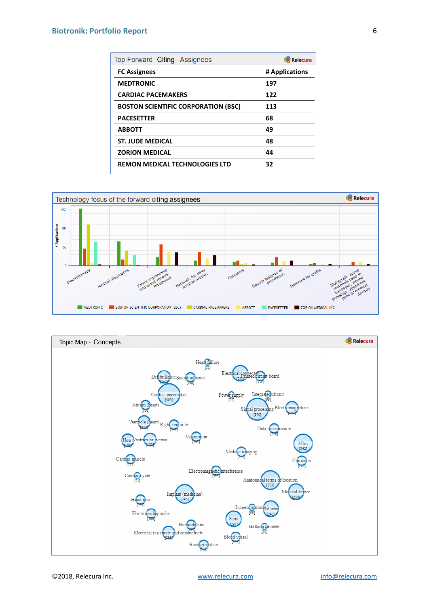## **Biotronik: Portfolio Report**

| Top Forward Citing Assignees               | Relecura       |
|--------------------------------------------|----------------|
| <b>FC Assignees</b>                        | # Applications |
| <b>MEDTRONIC</b>                           | 197            |
| <b>CARDIAC PACEMAKERS</b>                  | 122            |
| <b>BOSTON SCIENTIFIC CORPORATION (BSC)</b> | 113            |
| <b>PACESETTER</b>                          | 68             |
| <b>ABBOTT</b>                              | 49             |
| <b>ST. JUDE MEDICAL</b>                    | 48             |
| <b>ZORION MEDICAL</b>                      | 44             |
| <b>REMON MEDICAL TECHNOLOGIES LTD</b>      | 32             |